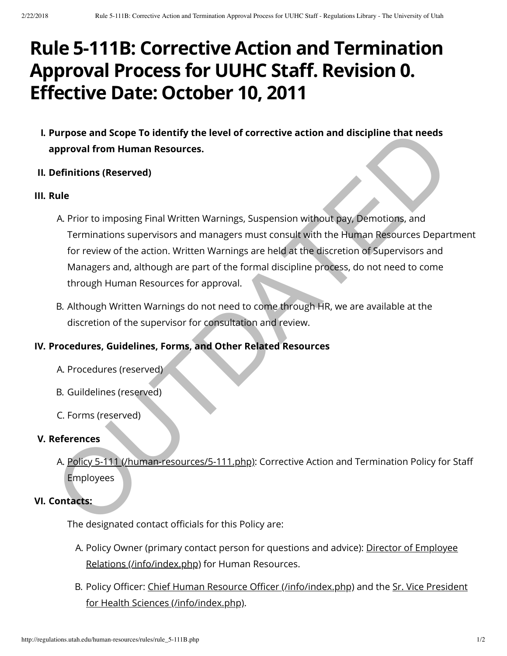# **Rule 5-111B: Corrective Action and Termination Approval Process for UUHC Staff. Revision 0. Effective Date: October 10, 2011**

- **I. Purpose and Scope To identify the level of corrective action and discipline that needs approval from Human Resources.**
- **II. Definitions (Reserved)**

#### **III. Rule**

- A. Prior to imposing Final Written Warnings, Suspension without pay, Demotions, and Terminations supervisors and managers must consult with the Human Resources Department for review of the action. Written Warnings are held at the discretion of Supervisors and Managers and, although are part of the formal discipline process, do not need to come through Human Resources for approval. Purpose and Scope To identify the level of corrective action and discipline that needs<br>approval from Human Resources.<br>
Definitions (Reserved)<br>
Aute<br>
A Prior to imposing Final Written Warnings, Suspension without pay, Demot
- B. Although Written Warnings do not need to come through HR, we are available at the discretion of the supervisor for consultation and review.

## **IV. Procedures, Guidelines, Forms, and Other Related Resources**

- A. Procedures (reserved)
- B. Guildelines (reserved)
- C. Forms (reserved)

## **V. References**

A. Policy 5-111 (/human-resources/5-111.php): Corrective Action and Termination Policy for Staff Employees

#### **VI. Contacts:**

The designated contact officials for this Policy are:

- A. [Policy Owner \(primary contact person for questions and advice\): Director of Employee](http://regulations.utah.edu/info/index.php) Relations (/info/index.php) for Human Resources.
- B. Policy Officer: Chief Human Resource Officer (/info/index.php) and the Sr. Vice President for Health Sciences (/info/index.php).